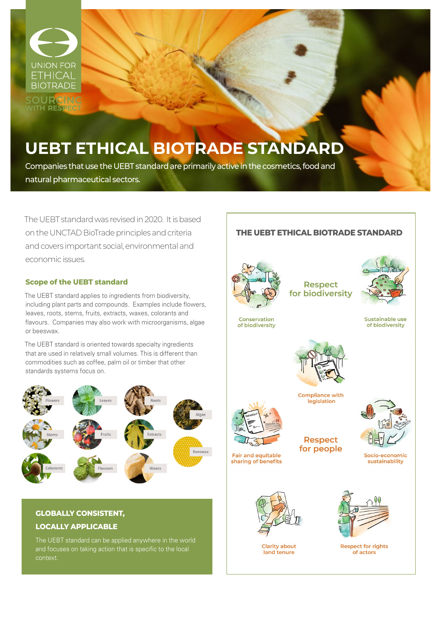

**SOURCING**<br>VITH RESPECT

# **UEBT ETHICAL BIOTRADE STANDARD**

Companies that use the UEBT standard are primarily active in the cosmetics, food and natural pharmaceutical sectors.

The UEBT standard was revised in 2020. It is based on the UNCTAD BioTrade principles and criteria and covers important social, environmental and economic issues.

#### **Scope of the UEBT standard**

The UEBT standard applies to ingredients from biodiversity, including plant parts and compounds. Examples include flowers, leaves, roots, stems, fruits, extracts, waxes, colorants and flavours. Companies may also work with microorganisms, algae or beeswax.

The UEBT standard is oriented towards specialty ingredients that are used in relatively small volumes. This is different than commodities such as coffee, palm oil or timber that other standards systems focus on.



## **GLOBALLY CONSISTENT, LOCALLY APPLICABLE**

The UEBT standard can be applied anywhere in the world and focuses on taking action that is specific to the local context.

# **THE UEBT ETHICAL BIOTRADE STANDARD**



**Respect** for biodiversity



Sustainable use of biodiversity



**Fair and equitable** 

sharing of benefits



**Compliance with** legislation



**Respect** for people

Socio-economic sustainability



**Clarity about** land tenure



**Respect for rights** of actors